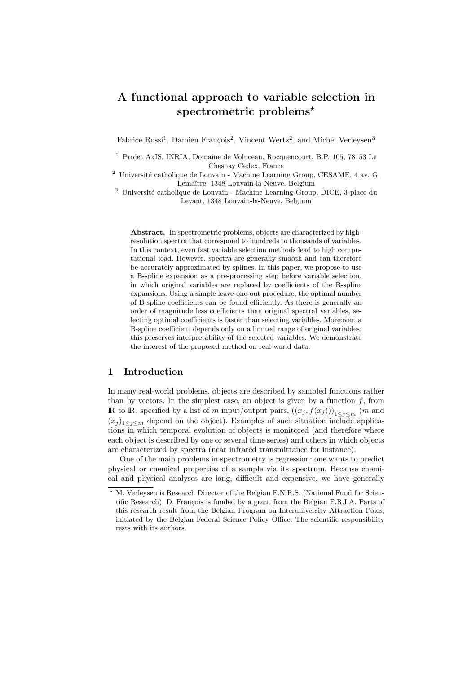# A functional approach to variable selection in spectrometric problems<sup>\*</sup>

Fabrice Rossi<sup>1</sup>, Damien François<sup>2</sup>, Vincent Wertz<sup>2</sup>, and Michel Verleysen<sup>3</sup>

<sup>3</sup> Université catholique de Louvain - Machine Learning Group, DICE, 3 place du Levant, 1348 Louvain-la-Neuve, Belgium

Abstract. In spectrometric problems, objects are characterized by highresolution spectra that correspond to hundreds to thousands of variables. In this context, even fast variable selection methods lead to high computational load. However, spectra are generally smooth and can therefore be accurately approximated by splines. In this paper, we propose to use a B-spline expansion as a pre-processing step before variable selection, in which original variables are replaced by coefficients of the B-spline expansions. Using a simple leave-one-out procedure, the optimal number of B-spline coefficients can be found efficiently. As there is generally an order of magnitude less coefficients than original spectral variables, selecting optimal coefficients is faster than selecting variables. Moreover, a B-spline coefficient depends only on a limited range of original variables: this preserves interpretability of the selected variables. We demonstrate the interest of the proposed method on real-world data.

## 1 Introduction

In many real-world problems, objects are described by sampled functions rather than by vectors. In the simplest case, an object is given by a function  $f$ , from IR to IR, specified by a list of m input/output pairs,  $((x_j, f(x_j)))_{1 \leq i \leq m}$  (m and  $(x_j)_{1\leq j\leq m}$  depend on the object). Examples of such situation include applications in which temporal evolution of objects is monitored (and therefore where each object is described by one or several time series) and others in which objects are characterized by spectra (near infrared transmittance for instance).

One of the main problems in spectrometry is regression: one wants to predict physical or chemical properties of a sample via its spectrum. Because chemical and physical analyses are long, difficult and expensive, we have generally

<sup>1</sup> Projet AxIS, INRIA, Domaine de Voluceau, Rocquencourt, B.P. 105, 78153 Le Chesnay Cedex, France

 $^2\,$ Université catholique de Louvain - Machine Learning Group, CESAME, 4 av. G. Lemaître, 1348 Louvain-la-Neuve, Belgium

M. Verleysen is Research Director of the Belgian F.N.R.S. (National Fund for Scientific Research). D. François is funded by a grant from the Belgian F.R.I.A. Parts of this research result from the Belgian Program on Interuniversity Attraction Poles, initiated by the Belgian Federal Science Policy Office. The scientific responsibility rests with its authors.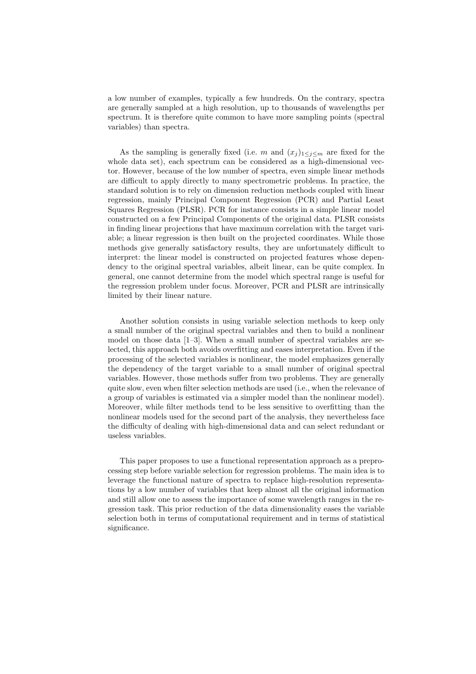a low number of examples, typically a few hundreds. On the contrary, spectra are generally sampled at a high resolution, up to thousands of wavelengths per spectrum. It is therefore quite common to have more sampling points (spectral variables) than spectra.

As the sampling is generally fixed (i.e. m and  $(x_j)_{1\leq j\leq m}$  are fixed for the whole data set), each spectrum can be considered as a high-dimensional vector. However, because of the low number of spectra, even simple linear methods are difficult to apply directly to many spectrometric problems. In practice, the standard solution is to rely on dimension reduction methods coupled with linear regression, mainly Principal Component Regression (PCR) and Partial Least Squares Regression (PLSR). PCR for instance consists in a simple linear model constructed on a few Principal Components of the original data. PLSR consists in finding linear projections that have maximum correlation with the target variable; a linear regression is then built on the projected coordinates. While those methods give generally satisfactory results, they are unfortunately difficult to interpret: the linear model is constructed on projected features whose dependency to the original spectral variables, albeit linear, can be quite complex. In general, one cannot determine from the model which spectral range is useful for the regression problem under focus. Moreover, PCR and PLSR are intrinsically limited by their linear nature.

Another solution consists in using variable selection methods to keep only a small number of the original spectral variables and then to build a nonlinear model on those data [1–3]. When a small number of spectral variables are selected, this approach both avoids overfitting and eases interpretation. Even if the processing of the selected variables is nonlinear, the model emphasizes generally the dependency of the target variable to a small number of original spectral variables. However, those methods suffer from two problems. They are generally quite slow, even when filter selection methods are used (i.e., when the relevance of a group of variables is estimated via a simpler model than the nonlinear model). Moreover, while filter methods tend to be less sensitive to overfitting than the nonlinear models used for the second part of the analysis, they nevertheless face the difficulty of dealing with high-dimensional data and can select redundant or useless variables.

This paper proposes to use a functional representation approach as a preprocessing step before variable selection for regression problems. The main idea is to leverage the functional nature of spectra to replace high-resolution representations by a low number of variables that keep almost all the original information and still allow one to assess the importance of some wavelength ranges in the regression task. This prior reduction of the data dimensionality eases the variable selection both in terms of computational requirement and in terms of statistical significance.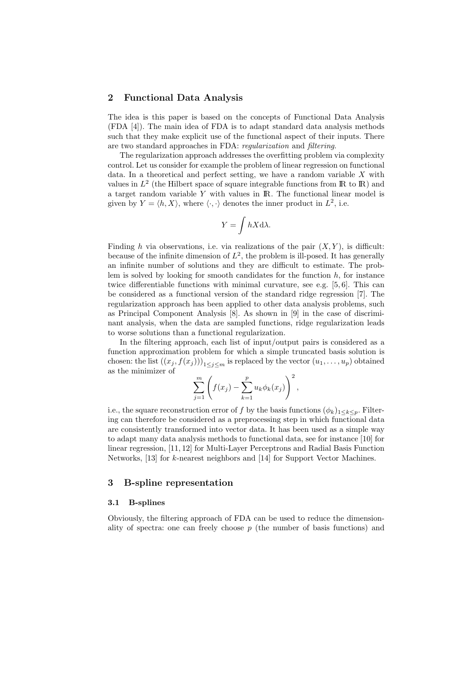# 2 Functional Data Analysis

The idea is this paper is based on the concepts of Functional Data Analysis (FDA [4]). The main idea of FDA is to adapt standard data analysis methods such that they make explicit use of the functional aspect of their inputs. There are two standard approaches in FDA: regularization and filtering.

The regularization approach addresses the overfitting problem via complexity control. Let us consider for example the problem of linear regression on functional data. In a theoretical and perfect setting, we have a random variable  $X$  with values in  $L^2$  (the Hilbert space of square integrable functions from  $\mathbb R$  to  $\mathbb R$ ) and a target random variable  $Y$  with values in  $\mathbb{R}$ . The functional linear model is given by  $Y = \langle h, X \rangle$ , where  $\langle \cdot, \cdot \rangle$  denotes the inner product in  $L^2$ , i.e.

$$
Y = \int hX \mathrm{d}\lambda.
$$

Finding h via observations, i.e. via realizations of the pair  $(X, Y)$ , is difficult: because of the infinite dimension of  $L^2$ , the problem is ill-posed. It has generally an infinite number of solutions and they are difficult to estimate. The problem is solved by looking for smooth candidates for the function  $h$ , for instance twice differentiable functions with minimal curvature, see e.g. [5, 6]. This can be considered as a functional version of the standard ridge regression [7]. The regularization approach has been applied to other data analysis problems, such as Principal Component Analysis [8]. As shown in [9] in the case of discriminant analysis, when the data are sampled functions, ridge regularization leads to worse solutions than a functional regularization.

In the filtering approach, each list of input/output pairs is considered as a function approximation problem for which a simple truncated basis solution is chosen: the list  $((x_j, f(x_j)))_{1 \leq j \leq m}$  is replaced by the vector  $(u_1, \ldots, u_p)$  obtained as the minimizer of

$$
\sum_{j=1}^{m} \left( f(x_j) - \sum_{k=1}^{p} u_k \phi_k(x_j) \right)^2,
$$

i.e., the square reconstruction error of f by the basis functions  $(\phi_k)_{1 \leq k \leq p}$ . Filtering can therefore be considered as a preprocessing step in which functional data are consistently transformed into vector data. It has been used as a simple way to adapt many data analysis methods to functional data, see for instance [10] for linear regression, [11, 12] for Multi-Layer Perceptrons and Radial Basis Function Networks, [13] for k-nearest neighbors and [14] for Support Vector Machines.

# 3 B-spline representation

## 3.1 B-splines

Obviously, the filtering approach of FDA can be used to reduce the dimensionality of spectra: one can freely choose  $p$  (the number of basis functions) and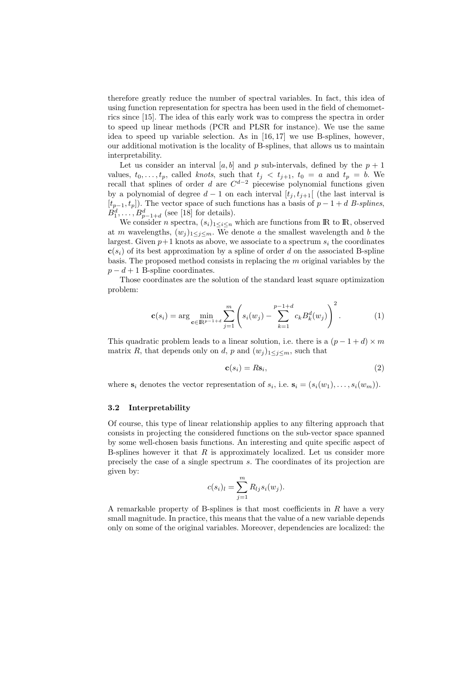therefore greatly reduce the number of spectral variables. In fact, this idea of using function representation for spectra has been used in the field of chemometrics since [15]. The idea of this early work was to compress the spectra in order to speed up linear methods (PCR and PLSR for instance). We use the same idea to speed up variable selection. As in [16, 17] we use B-splines, however, our additional motivation is the locality of B-splines, that allows us to maintain interpretability.

Let us consider an interval [a, b] and p sub-intervals, defined by the  $p + 1$ values,  $t_0, \ldots, t_p$ , called knots, such that  $t_j < t_{j+1}$ ,  $t_0 = a$  and  $t_p = b$ . We recall that splines of order d are  $C^{d-2}$  piecewise polynomial functions given by a polynomial of degree  $d-1$  on each interval  $[t_j, t_{j+1}]$  (the last interval is  $[t_{p-1}, t_p]$ ). The vector space of such functions has a basis of  $p-1+d$  B-splines,  $B_1^d, \ldots, B_{p-1+d}^d$  (see [18] for details).

We consider n spectra,  $(s_i)_{1\leq i\leq n}$  which are functions from IR to IR, observed at m wavelengths,  $(w_j)_{1 \leq j \leq m}$ . We denote a the smallest wavelength and b the largest. Given  $p+1$  knots as above, we associate to a spectrum  $s_i$  the coordinates  $c(s_i)$  of its best approximation by a spline of order d on the associated B-spline basis. The proposed method consists in replacing the  $m$  original variables by the  $p - d + 1$  B-spline coordinates.

Those coordinates are the solution of the standard least square optimization problem:

$$
\mathbf{c}(s_i) = \arg \min_{\mathbf{c} \in \mathbb{R}^{p-1+d}} \sum_{j=1}^m \left( s_i(w_j) - \sum_{k=1}^{p-1+d} c_k B_k^d(w_j) \right)^2.
$$
 (1)

This quadratic problem leads to a linear solution, i.e. there is a  $(p-1+d) \times m$ matrix R, that depends only on d, p and  $(w_i)_{1 \leq i \leq m}$ , such that

$$
\mathbf{c}(s_i) = R\mathbf{s}_i,\tag{2}
$$

where  $s_i$  denotes the vector representation of  $s_i$ , i.e.  $s_i = (s_i(w_1), \ldots, s_i(w_m))$ .

#### 3.2 Interpretability

Of course, this type of linear relationship applies to any filtering approach that consists in projecting the considered functions on the sub-vector space spanned by some well-chosen basis functions. An interesting and quite specific aspect of B-splines however it that  $R$  is approximately localized. Let us consider more precisely the case of a single spectrum s. The coordinates of its projection are given by:

$$
c(s_i)_l = \sum_{j=1}^m R_{lj} s_i(w_j).
$$

A remarkable property of B-splines is that most coefficients in  $R$  have a very small magnitude. In practice, this means that the value of a new variable depends only on some of the original variables. Moreover, dependencies are localized: the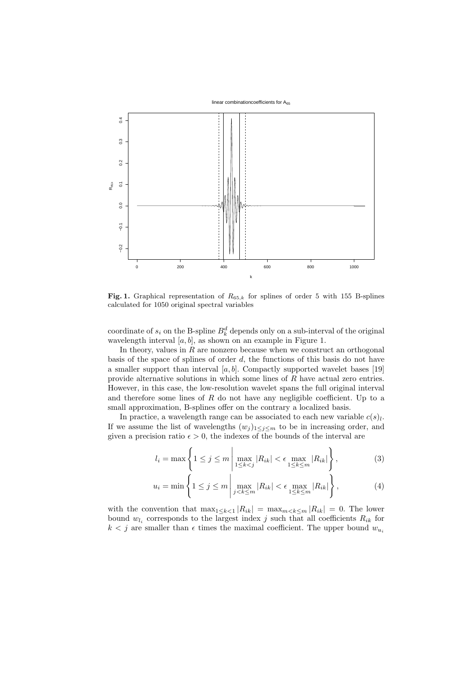

Fig. 1. Graphical representation of  $R_{65,k}$  for splines of order 5 with 155 B-splines calculated for 1050 original spectral variables

coordinate of  $s_i$  on the B-spline  $B_k^d$  depends only on a sub-interval of the original wavelength interval  $[a, b]$ , as shown on an example in Figure 1.

In theory, values in  $R$  are nonzero because when we construct an orthogonal basis of the space of splines of order  $d$ , the functions of this basis do not have a smaller support than interval  $[a, b]$ . Compactly supported wavelet bases [19] provide alternative solutions in which some lines of R have actual zero entries. However, in this case, the low-resolution wavelet spans the full original interval and therefore some lines of  $R$  do not have any negligible coefficient. Up to a small approximation, B-splines offer on the contrary a localized basis.

In practice, a wavelength range can be associated to each new variable  $c(s)$ , If we assume the list of wavelengths  $(w_j)_{1 \leq j \leq m}$  to be in increasing order, and given a precision ratio  $\epsilon > 0$ , the indexes of the bounds of the interval are

$$
l_i = \max\left\{1 \le j \le m \left|\max_{1 \le k < j} |R_{ik}| < \epsilon \max_{1 \le k \le m} |R_{ik}|\right\},\right\} \tag{3}
$$

$$
u_i = \min\left\{1 \le j \le m \left| \max_{j < k \le m} |R_{ik}| < \epsilon \max_{1 \le k \le m} |R_{ik}| \right\},\right\} \tag{4}
$$

with the convention that  $\max_{1 \leq k \leq 1} |R_{ik}| = \max_{m \leq k \leq m} |R_{ik}| = 0$ . The lower bound  $w_{l_i}$  corresponds to the largest index j such that all coefficients  $R_{ik}$  for  $k < j$  are smaller than  $\epsilon$  times the maximal coefficient. The upper bound  $w_{u_i}$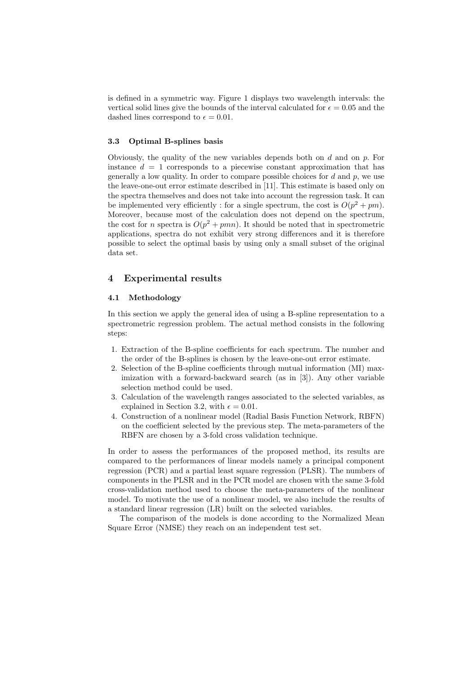is defined in a symmetric way. Figure 1 displays two wavelength intervals: the vertical solid lines give the bounds of the interval calculated for  $\epsilon = 0.05$  and the dashed lines correspond to  $\epsilon = 0.01$ .

## 3.3 Optimal B-splines basis

Obviously, the quality of the new variables depends both on  $d$  and on  $p$ . For instance  $d = 1$  corresponds to a piecewise constant approximation that has generally a low quality. In order to compare possible choices for  $d$  and  $p$ , we use the leave-one-out error estimate described in [11]. This estimate is based only on the spectra themselves and does not take into account the regression task. It can be implemented very efficiently : for a single spectrum, the cost is  $O(p^2 + pm)$ . Moreover, because most of the calculation does not depend on the spectrum, the cost for n spectra is  $O(p^2 + pmn)$ . It should be noted that in spectrometric applications, spectra do not exhibit very strong differences and it is therefore possible to select the optimal basis by using only a small subset of the original data set.

# 4 Experimental results

### 4.1 Methodology

In this section we apply the general idea of using a B-spline representation to a spectrometric regression problem. The actual method consists in the following steps:

- 1. Extraction of the B-spline coefficients for each spectrum. The number and the order of the B-splines is chosen by the leave-one-out error estimate.
- 2. Selection of the B-spline coefficients through mutual information (MI) maximization with a forward-backward search (as in [3]). Any other variable selection method could be used.
- 3. Calculation of the wavelength ranges associated to the selected variables, as explained in Section 3.2, with  $\epsilon = 0.01$ .
- 4. Construction of a nonlinear model (Radial Basis Function Network, RBFN) on the coefficient selected by the previous step. The meta-parameters of the RBFN are chosen by a 3-fold cross validation technique.

In order to assess the performances of the proposed method, its results are compared to the performances of linear models namely a principal component regression (PCR) and a partial least square regression (PLSR). The numbers of components in the PLSR and in the PCR model are chosen with the same 3-fold cross-validation method used to choose the meta-parameters of the nonlinear model. To motivate the use of a nonlinear model, we also include the results of a standard linear regression (LR) built on the selected variables.

The comparison of the models is done according to the Normalized Mean Square Error (NMSE) they reach on an independent test set.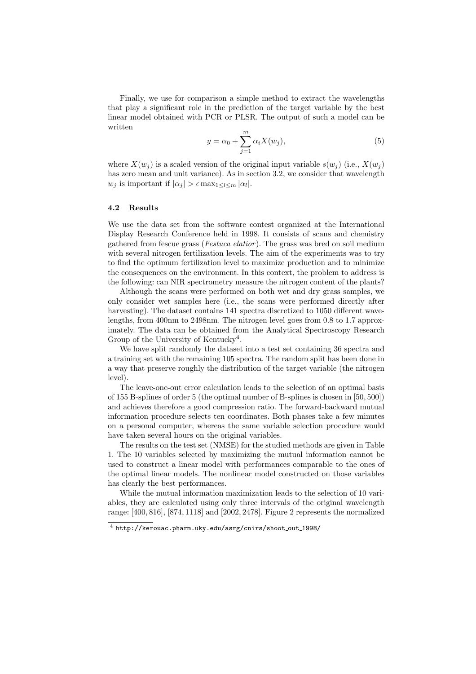Finally, we use for comparison a simple method to extract the wavelengths that play a significant role in the prediction of the target variable by the best linear model obtained with PCR or PLSR. The output of such a model can be written

$$
y = \alpha_0 + \sum_{j=1}^{m} \alpha_i X(w_j), \tag{5}
$$

where  $X(w_i)$  is a scaled version of the original input variable  $s(w_i)$  (i.e.,  $X(w_i)$ ) has zero mean and unit variance). As in section 3.2, we consider that wavelength  $w_j$  is important if  $|\alpha_j| > \epsilon \max_{1 \leq l \leq m} |\alpha_l|$ .

#### 4.2 Results

We use the data set from the software contest organized at the International Display Research Conference held in 1998. It consists of scans and chemistry gathered from fescue grass (Festuca elatior ). The grass was bred on soil medium with several nitrogen fertilization levels. The aim of the experiments was to try to find the optimum fertilization level to maximize production and to minimize the consequences on the environment. In this context, the problem to address is the following: can NIR spectrometry measure the nitrogen content of the plants?

Although the scans were performed on both wet and dry grass samples, we only consider wet samples here (i.e., the scans were performed directly after harvesting). The dataset contains 141 spectra discretized to 1050 different wavelengths, from 400nm to 2498nm. The nitrogen level goes from 0.8 to 1.7 approximately. The data can be obtained from the Analytical Spectroscopy Research Group of the University of Kentucky<sup>4</sup>.

We have split randomly the dataset into a test set containing 36 spectra and a training set with the remaining 105 spectra. The random split has been done in a way that preserve roughly the distribution of the target variable (the nitrogen level).

The leave-one-out error calculation leads to the selection of an optimal basis of 155 B-splines of order 5 (the optimal number of B-splines is chosen in [50, 500]) and achieves therefore a good compression ratio. The forward-backward mutual information procedure selects ten coordinates. Both phases take a few minutes on a personal computer, whereas the same variable selection procedure would have taken several hours on the original variables.

The results on the test set (NMSE) for the studied methods are given in Table 1. The 10 variables selected by maximizing the mutual information cannot be used to construct a linear model with performances comparable to the ones of the optimal linear models. The nonlinear model constructed on those variables has clearly the best performances.

While the mutual information maximization leads to the selection of 10 variables, they are calculated using only three intervals of the original wavelength range: [400, 816], [874, 1118] and [2002, 2478]. Figure 2 represents the normalized

 $^4$  http://kerouac.pharm.uky.edu/asrg/cnirs/shoot\_out\_1998/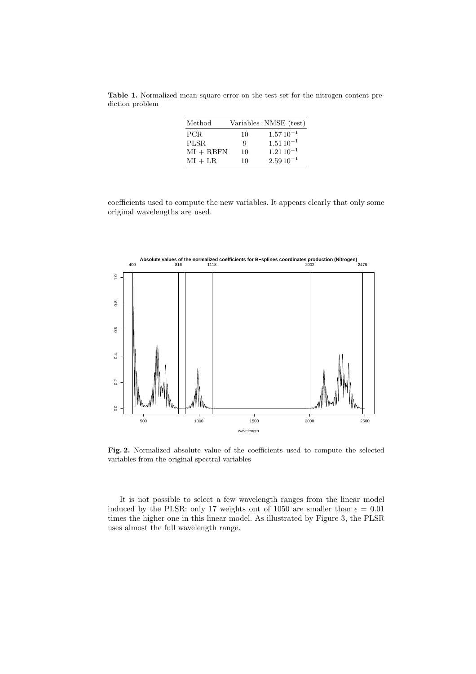Table 1. Normalized mean square error on the test set for the nitrogen content prediction problem

| Method      |    | Variables NMSE (test) |
|-------------|----|-----------------------|
| PCR.        | 10 | $1.5710^{-1}$         |
| PLSR.       | 9  | $1.5110^{-1}$         |
| $MI + RBFN$ | 10 | $1.2110^{-1}$         |
| $MI + LR$   | 10 | $2.5910^{-1}$         |

coefficients used to compute the new variables. It appears clearly that only some original wavelengths are used.



Fig. 2. Normalized absolute value of the coefficients used to compute the selected variables from the original spectral variables

It is not possible to select a few wavelength ranges from the linear model induced by the PLSR: only 17 weights out of 1050 are smaller than  $\epsilon = 0.01$ times the higher one in this linear model. As illustrated by Figure 3, the PLSR uses almost the full wavelength range.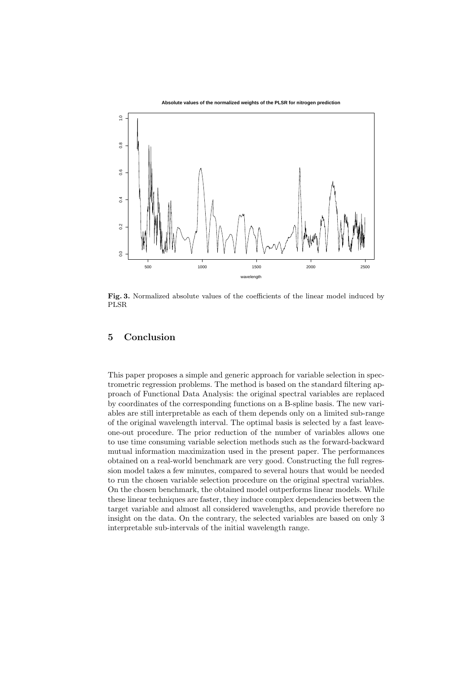

Fig. 3. Normalized absolute values of the coefficients of the linear model induced by PLSR

# 5 Conclusion

This paper proposes a simple and generic approach for variable selection in spectrometric regression problems. The method is based on the standard filtering approach of Functional Data Analysis: the original spectral variables are replaced by coordinates of the corresponding functions on a B-spline basis. The new variables are still interpretable as each of them depends only on a limited sub-range of the original wavelength interval. The optimal basis is selected by a fast leaveone-out procedure. The prior reduction of the number of variables allows one to use time consuming variable selection methods such as the forward-backward mutual information maximization used in the present paper. The performances obtained on a real-world benchmark are very good. Constructing the full regression model takes a few minutes, compared to several hours that would be needed to run the chosen variable selection procedure on the original spectral variables. On the chosen benchmark, the obtained model outperforms linear models. While these linear techniques are faster, they induce complex dependencies between the target variable and almost all considered wavelengths, and provide therefore no insight on the data. On the contrary, the selected variables are based on only 3 interpretable sub-intervals of the initial wavelength range.